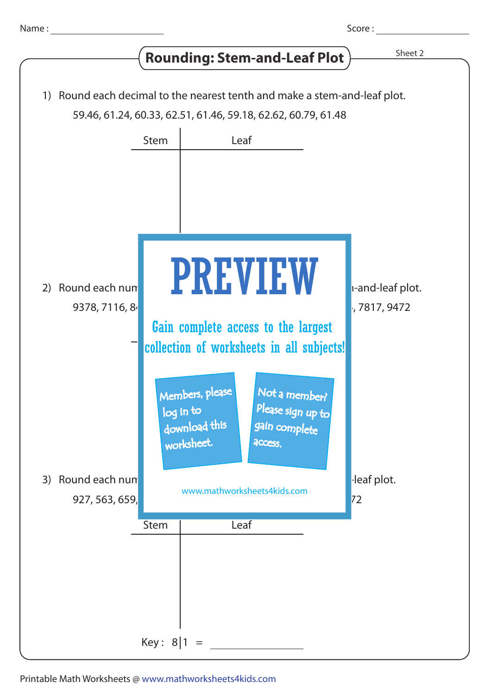